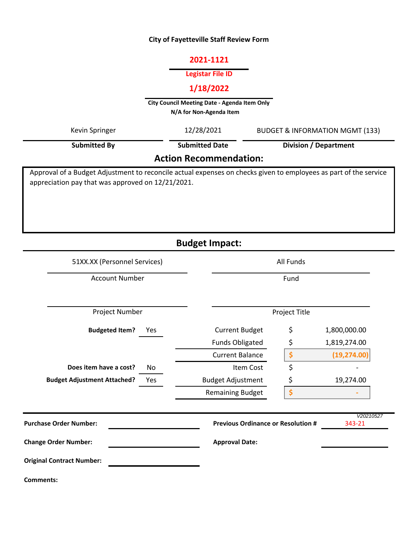## **City of Fayetteville Staff Review Form**

#### **2021-1121**

### **Legistar File ID**

# **1/18/2022**

**City Council Meeting Date - Agenda Item Only**

**N/A for Non-Agenda Item** 

| Kevin Springer                                                                                                                                                        | 12/28/2021            | <b>BUDGET &amp; INFORMATION MGMT (133)</b> |  |  |  |  |
|-----------------------------------------------------------------------------------------------------------------------------------------------------------------------|-----------------------|--------------------------------------------|--|--|--|--|
| <b>Submitted By</b>                                                                                                                                                   | <b>Submitted Date</b> | Division / Department                      |  |  |  |  |
| <b>Action Recommendation:</b>                                                                                                                                         |                       |                                            |  |  |  |  |
| Approval of a Budget Adjustment to reconcile actual expenses on checks given to employees as part of the service<br>appreciation pay that was approved on 12/21/2021. |                       |                                            |  |  |  |  |

**Budget Impact:**

| 51XX.XX (Personnel Services)              | All Funds                                 |               |                     |
|-------------------------------------------|-------------------------------------------|---------------|---------------------|
| <b>Account Number</b>                     | Fund                                      |               |                     |
| Project Number                            |                                           | Project Title |                     |
| <b>Budgeted Item?</b><br>Yes              | <b>Current Budget</b>                     | \$            | 1,800,000.00        |
|                                           | <b>Funds Obligated</b>                    | \$            | 1,819,274.00        |
|                                           | <b>Current Balance</b>                    | \$            | (19, 274.00)        |
| Does item have a cost?<br>No              | Item Cost                                 | \$            |                     |
| <b>Budget Adjustment Attached?</b><br>Yes | <b>Budget Adjustment</b>                  | \$            | 19,274.00           |
|                                           | <b>Remaining Budget</b>                   | \$            |                     |
| <b>Purchase Order Number:</b>             | <b>Previous Ordinance or Resolution #</b> |               | V20210527<br>343-21 |
| <b>Change Order Number:</b>               | <b>Approval Date:</b>                     |               |                     |
| <b>Original Contract Number:</b>          |                                           |               |                     |
| Comments:                                 |                                           |               |                     |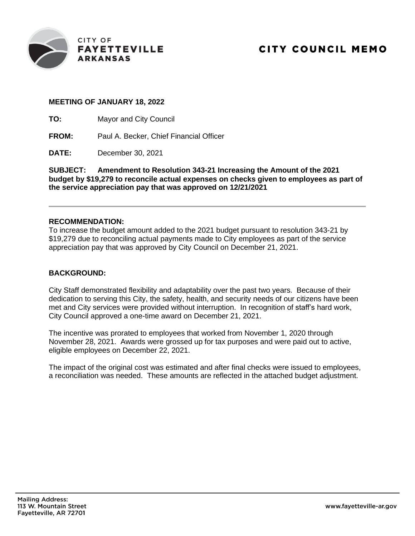

#### **MEETING OF JANUARY 18, 2022**

**TO:** Mayor and City Council

**FROM:** Paul A. Becker, Chief Financial Officer

**DATE:** December 30, 2021

**SUBJECT: Amendment to Resolution 343-21 Increasing the Amount of the 2021 budget by \$19,279 to reconcile actual expenses on checks given to employees as part of the service appreciation pay that was approved on 12/21/2021**

#### **RECOMMENDATION:**

To increase the budget amount added to the 2021 budget pursuant to resolution 343-21 by \$19,279 due to reconciling actual payments made to City employees as part of the service appreciation pay that was approved by City Council on December 21, 2021.

#### **BACKGROUND:**

City Staff demonstrated flexibility and adaptability over the past two years. Because of their dedication to serving this City, the safety, health, and security needs of our citizens have been met and City services were provided without interruption. In recognition of staff's hard work, City Council approved a one-time award on December 21, 2021.

The incentive was prorated to employees that worked from November 1, 2020 through November 28, 2021. Awards were grossed up for tax purposes and were paid out to active, eligible employees on December 22, 2021.

The impact of the original cost was estimated and after final checks were issued to employees, a reconciliation was needed. These amounts are reflected in the attached budget adjustment.